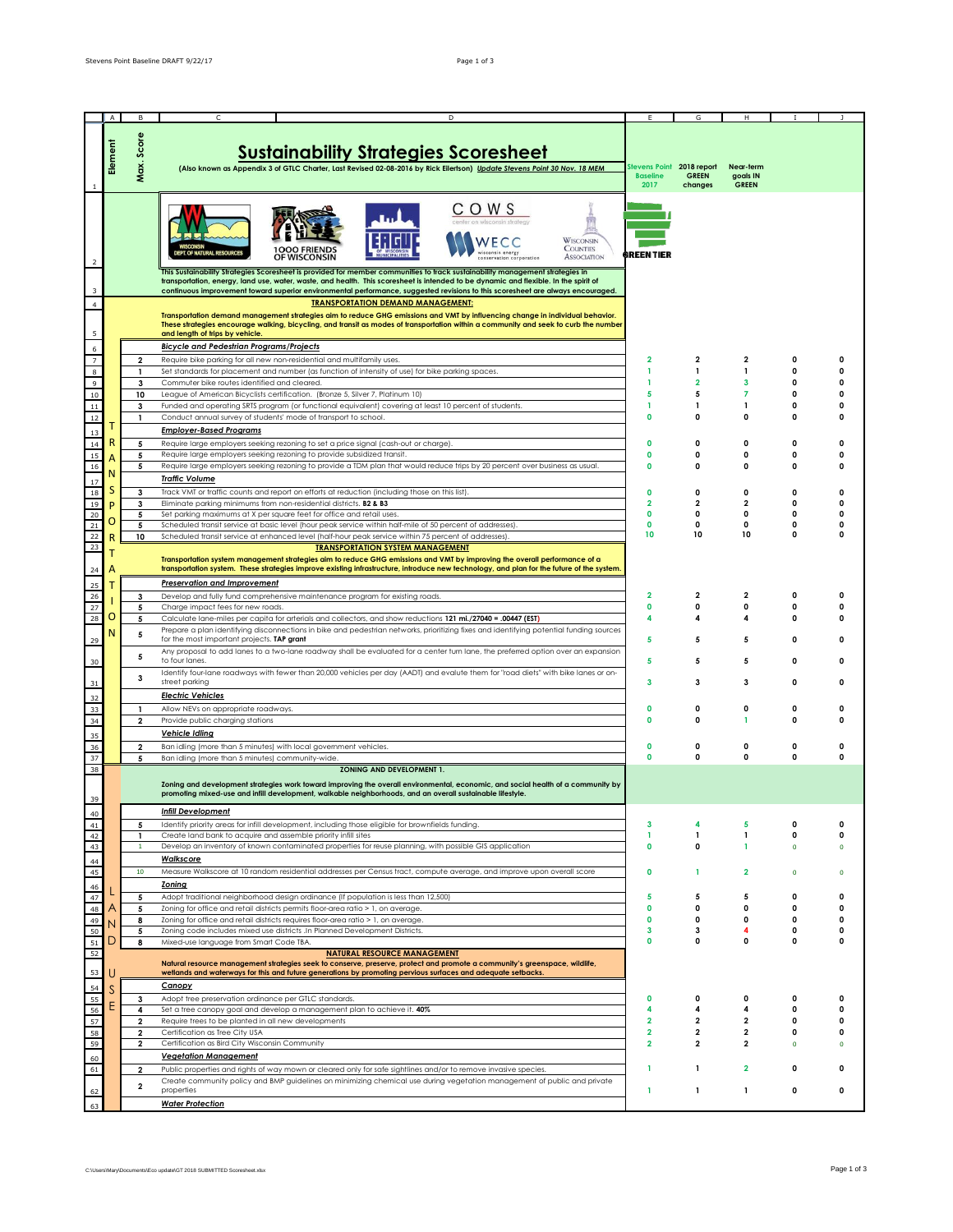|                                             | $\overline{A}$ | B                       | D                                                                                                                                         |                           |                         |                |              |             |
|---------------------------------------------|----------------|-------------------------|-------------------------------------------------------------------------------------------------------------------------------------------|---------------------------|-------------------------|----------------|--------------|-------------|
|                                             |                |                         |                                                                                                                                           |                           |                         |                |              |             |
|                                             |                |                         |                                                                                                                                           |                           |                         |                |              |             |
|                                             |                | Max. Score              |                                                                                                                                           |                           |                         |                |              |             |
|                                             | Element        |                         | <b>Sustainability Strategies Scoresheet</b>                                                                                               |                           |                         |                |              |             |
|                                             |                |                         |                                                                                                                                           |                           |                         |                |              |             |
|                                             |                |                         | (Also known as Appendix 3 of GTLC Charter, Last Revised 02-08-2016 by Rick Eilertson) Update Stevens Point 30 Nov. 18 MEM                 | Stevens Point 2018 report |                         | Near-term      |              |             |
|                                             |                |                         |                                                                                                                                           | <b>Baseline</b>           | <b>GREEN</b>            | goals IN       |              |             |
|                                             |                |                         |                                                                                                                                           | 2017                      | changes                 | <b>GREEN</b>   |              |             |
|                                             |                |                         |                                                                                                                                           |                           |                         |                |              |             |
|                                             |                |                         | <b>COWS</b>                                                                                                                               |                           |                         |                |              |             |
|                                             |                |                         |                                                                                                                                           |                           |                         |                |              |             |
|                                             |                |                         |                                                                                                                                           |                           |                         |                |              |             |
|                                             |                |                         |                                                                                                                                           |                           |                         |                |              |             |
|                                             |                |                         | <b>WISCONSIN</b><br><b>COUNTIES</b>                                                                                                       |                           |                         |                |              |             |
|                                             |                |                         | <b>T. OF NATURAL RESOURCES</b><br><b>ASSOCIATION</b>                                                                                      | GREEN TIER                |                         |                |              |             |
| $\overline{2}$                              |                |                         |                                                                                                                                           |                           |                         |                |              |             |
|                                             |                |                         | This Sustainability Strategies Scoresheet is provided for member communities to track sustainability management strategies in             |                           |                         |                |              |             |
|                                             |                |                         | transportation, energy, land use, water, waste, and health. This scoresheet is intended to be dynamic and flexible. In the spirit of      |                           |                         |                |              |             |
|                                             |                |                         | continuous improvement toward superior environmental performance, suggested revisions to this scoresheet are always encouraged.           |                           |                         |                |              |             |
| $\overline{4}$                              |                |                         | <b>TRANSPORTATION DEMAND MANAGEMENT:</b>                                                                                                  |                           |                         |                |              |             |
|                                             |                |                         |                                                                                                                                           |                           |                         |                |              |             |
|                                             |                |                         | Transportation demand management strategies aim to reduce GHG emissions and VMT by influencing change in individual behavior.             |                           |                         |                |              |             |
|                                             |                |                         | These strategies encourage walking, bicycling, and transit as modes of transportation within a community and seek to curb the number      |                           |                         |                |              |             |
| $\sf 5$                                     |                |                         | and length of trips by vehicle.                                                                                                           |                           |                         |                |              |             |
| $6\phantom{a}$                              |                |                         | <b>Bicycle and Pedestrian Programs/Projects</b>                                                                                           |                           |                         |                |              |             |
| $\overline{7}$                              |                | $\overline{\mathbf{2}}$ | Require bike parking for all new non-residential and multifamily uses.                                                                    | $\overline{\mathbf{2}}$   | $\overline{\mathbf{2}}$ | 2              | 0            | 0           |
|                                             |                |                         |                                                                                                                                           |                           |                         |                |              |             |
|                                             |                | 1                       | Set standards for placement and number (as function of intensity of use) for bike parking spaces.                                         | 1                         | $\mathbf{1}$            | 1              | <sup>0</sup> | 0           |
|                                             |                | 3                       | Commuter bike routes identified and cleared.                                                                                              | 1                         | $\overline{2}$          | 3              | 0            | 0           |
| $\begin{array}{c} 8 \\ 9 \\ 10 \end{array}$ |                | 10                      | League of American Bicyclists certification. (Bronze 5, Silver 7, Platinum 10)                                                            | 5                         | 5                       | $\overline{7}$ | 0            | 0           |
| 11                                          |                | 3                       | Funded and operating SRTS program (or functional equivalent) covering at least 10 percent of students.                                    | 1                         | $\mathbf{1}$            | $\mathbf{1}$   | 0            | 0           |
| 12                                          |                |                         | Conduct annual survey of students' mode of transport to school.                                                                           | 0                         | $\mathbf 0$             | 0              | 0            | 0           |
|                                             |                | $\mathbf{1}$            |                                                                                                                                           |                           |                         |                |              |             |
| 13                                          |                |                         | <b>Employer-Based Programs</b>                                                                                                            |                           |                         |                |              |             |
| 14                                          |                | 5                       | Require large employers seeking rezoning to set a price signal (cash-out or charge).                                                      | 0                         | $\mathbf 0$             | 0              | 0            | 0           |
|                                             |                |                         | Require large employers seeking rezoning to provide subsidized transit.                                                                   | 0                         | 0                       | 0              | 0            | 0           |
| 15                                          |                | 5                       |                                                                                                                                           |                           |                         |                |              |             |
| 16                                          |                | 5                       | Require large employers seeking rezoning to provide a TDM plan that would reduce trips by 20 percent over business as usual.              | 0                         | $\mathbf 0$             | 0              | 0            | 0           |
|                                             | N              |                         | <b>Traffic Volume</b>                                                                                                                     |                           |                         |                |              |             |
| 17                                          | S              |                         |                                                                                                                                           |                           |                         |                |              |             |
| 18                                          |                | 3                       | Track VMT or traffic counts and report on efforts at reduction (including those on this list).                                            | 0                         | $\mathbf 0$             | 0              | 0            | 0           |
| 19                                          |                | 3                       | Eliminate parking minimums from non-residential districts. B2 & B3                                                                        | $\overline{\mathbf{2}}$   | 2                       | 2              | 0            | 0           |
| 20                                          |                | 5                       | Set parking maximums at X per square feet for office and retail uses.                                                                     | O                         | 0                       | 0              | 0            | 0           |
| $\mathbf{21}$                               | Ο              | 5                       | Scheduled transit service at basic level (hour peak service within half-mile of 50 percent of addresses).                                 | $\mathbf 0$               | 0                       | 0              | 0            | 0           |
| 22                                          |                | 10                      | Scheduled transit service at enhanced level (half-hour peak service within 75 percent of addresses).                                      | 10                        | 10                      | 10             | $\Omega$     | 0           |
|                                             |                |                         |                                                                                                                                           |                           |                         |                |              |             |
| 23                                          |                |                         | <b>TRANSPORTATION SYSTEM MANAGEMENT</b>                                                                                                   |                           |                         |                |              |             |
|                                             |                |                         | Transportation system management strategies aim to reduce GHG emissions and VMT by improving the overall performance of a                 |                           |                         |                |              |             |
| 24                                          |                |                         | transportation system. These strategies improve existing infrastructure, introduce new technology, and plan for the future of the system. |                           |                         |                |              |             |
|                                             |                |                         |                                                                                                                                           |                           |                         |                |              |             |
| 25                                          |                |                         | <b>Preservation and Improvement</b>                                                                                                       |                           |                         |                |              |             |
| 26                                          |                | 3                       | Develop and fully fund comprehensive maintenance program for existing roads.                                                              | $\overline{\mathbf{2}}$   | 2                       | 2              | 0            | $\Omega$    |
| 27                                          |                | 5                       | Charge impact fees for new roads.                                                                                                         | 0                         | 0                       | 0              | 0            | 0           |
| 28                                          | O              | 5                       | Calculate lane-miles per capita for arterials and collectors, and show reductions 121 mi./27040 = .00447 (EST)                            | 4                         |                         |                | 0            | 0           |
|                                             |                |                         | Prepare a plan identifying disconnections in bike and pedestrian networks, prioritizing fixes and identifying potential funding sources   |                           |                         |                |              |             |
|                                             | Ν              | 5                       |                                                                                                                                           | 5                         | 5                       | 5              | 0            | 0           |
| 29                                          |                |                         | for the most important projects. TAP grant                                                                                                |                           |                         |                |              |             |
|                                             |                | 5                       | Any proposal to add lanes to a two-lane roadway shall be evaluated for a center turn lane, the preferred option over an expansion         |                           |                         |                |              |             |
| 30                                          |                |                         | to four lanes.                                                                                                                            | 5                         | 5                       | 5              | <sup>0</sup> | O           |
|                                             |                |                         | Identify four-lane roadways with fewer than 20,000 vehicles per day (AADT) and evalute them for "road diets" with bike lanes or on-       |                           |                         |                |              |             |
| 31                                          |                | 3                       | street parking                                                                                                                            | 3                         | 3                       | 3              | 0            | 0           |
|                                             |                |                         | <b>Electric Vehicles</b>                                                                                                                  |                           |                         |                |              |             |
| 32                                          |                |                         |                                                                                                                                           |                           |                         |                |              |             |
| 33                                          |                | $\mathbf{1}$            | Allow NEVs on appropriate roadways.                                                                                                       | 0                         | 0                       | 0              | 0            | 0           |
| 34                                          |                | $\overline{\mathbf{2}}$ | Provide public charging stations                                                                                                          | O                         | 0                       | 1              | 0            | 0           |
|                                             |                |                         | <b>Vehicle Idling</b>                                                                                                                     |                           |                         |                |              |             |
| 35                                          |                |                         |                                                                                                                                           |                           |                         |                |              |             |
| 36                                          |                | $\overline{\mathbf{2}}$ | Ban idling (more than 5 minutes) with local government vehicles.                                                                          | $\mathbf 0$               | $\mathbf 0$             | 0              | 0            | 0           |
| 37                                          |                | 5                       | Ban idling (more than 5 minutes) community-wide.                                                                                          | $\mathbf 0$               | 0                       | 0              | 0            | 0           |
| 38                                          |                |                         | <b>ZONING AND DEVELOPMENT 1.</b>                                                                                                          |                           |                         |                |              |             |
|                                             |                |                         |                                                                                                                                           |                           |                         |                |              |             |
|                                             |                |                         | Zoning and development strategies work toward improving the overall environmental, economic, and social health of a community by          |                           |                         |                |              |             |
| 39                                          |                |                         | promoting mixed-use and infill development, walkable neighborhoods, and an overall sustainable lifestyle.                                 |                           |                         |                |              |             |
|                                             |                |                         |                                                                                                                                           |                           |                         |                |              |             |
| 40                                          |                |                         | <b>Infill Development</b>                                                                                                                 |                           |                         |                |              |             |
| 41                                          |                | 5                       | Identify priority areas for infill development, including those eligible for brownfields funding.                                         | 3                         |                         | 5              | 0            | 0           |
| 42                                          |                | $\mathbf{1}$            | Create land bank to acquire and assemble priority infill sites                                                                            | 1                         | $\mathbf{1}$            | 1              | 0            | 0           |
| 43                                          |                | -1                      | Develop an inventory of known contaminated properties for reuse planning, with possible GIS application                                   | 0                         | 0                       | 1              | $\Omega$     | $\mathbf 0$ |
|                                             |                |                         |                                                                                                                                           |                           |                         |                |              |             |
| $\overline{44}$                             |                |                         | <b>Walkscore</b>                                                                                                                          |                           |                         |                |              |             |
| 45                                          |                | 10                      | Measure Walkscore at 10 random residential addresses per Census tract, compute average, and improve upon overall score                    | 0                         | -1                      | $\mathbf{2}$   | $\mathbf 0$  | $\mathbf 0$ |
|                                             |                |                         | <b>Zoning</b>                                                                                                                             |                           |                         |                |              |             |
| 46                                          |                |                         |                                                                                                                                           |                           |                         |                |              |             |
| 47                                          |                | 5                       | Adopt traditional neighborhood design ordinance (If population is less than 12,500)                                                       | 5                         | 5                       | 5              | 0            | 0           |
| 48                                          |                | 5                       | Zoning for office and retail districts permits floor-area ratio > 1, on average.                                                          | 0                         | 0                       | 0              | 0            | 0           |
| 49                                          |                | 8                       | Zoning for office and retail districts requires floor-area ratio > 1, on average.                                                         | 0                         | 0                       | 0              | 0            | 0           |
| 50                                          |                | 5                       | Zoning code includes mixed use districts .In Planned Development Districts.                                                               | 3                         | 3                       | 4              | 0            | 0           |
| ${\bf 51}$                                  | I)             | 8                       | Mixed-use language from Smart Code TBA                                                                                                    | O                         | 0                       | 0              | 0            | 0           |
|                                             |                |                         |                                                                                                                                           |                           |                         |                |              |             |
| 52                                          |                |                         | <b>NATURAL RESOURCE MANAGEMENT</b>                                                                                                        |                           |                         |                |              |             |
|                                             |                |                         | Natural resource management strategies seek to conserve, preserve, protect and promote a community's greenspace, wildlife,                |                           |                         |                |              |             |
| 53                                          |                |                         | wetlands and waterways for this and future generations by promoting pervious surfaces and adequate setbacks.                              |                           |                         |                |              |             |
| 54                                          |                |                         | Canopy                                                                                                                                    |                           |                         |                |              |             |
|                                             |                |                         |                                                                                                                                           | $\Omega$                  | $\Omega$                | 0              | 0            | 0           |
| 55                                          |                | 3                       | Adopt tree preservation ordinance per GTLC standards.                                                                                     |                           |                         |                |              |             |
| 56                                          |                | 4                       | Set a tree canopy goal and develop a management plan to achieve it. 40%                                                                   | 4                         | 4                       | 4              | 0            | 0           |
| 57                                          |                | $\overline{\mathbf{2}}$ | Require trees to be planted in all new developments                                                                                       | 2                         | 2                       | 2              | 0            | 0           |
| 58                                          |                | $\mathbf 2$             | Certification as Tree City USA                                                                                                            | 2                         | 2                       | 2              | 0            | 0           |
| 59                                          |                | $\overline{\mathbf{2}}$ | Certification as Bird City Wisconsin Community                                                                                            | $\overline{\mathbf{2}}$   | $\mathbf 2$             | 2              |              | $\mathbf 0$ |
|                                             |                |                         |                                                                                                                                           |                           |                         |                |              |             |
| 60                                          |                |                         | <b>Vegetation Management</b>                                                                                                              |                           |                         |                |              |             |
| 61                                          |                | $\overline{\mathbf{2}}$ | Public properties and rights of way mown or cleared only for safe sightlines and/or to remove invasive species.                           | 1                         | $\mathbf{1}$            | $\overline{2}$ | 0            | 0           |
|                                             |                |                         | Create community policy and BMP guidelines on minimizing chemical use during vegetation management of public and private                  |                           |                         |                |              |             |
| 62                                          |                | $\mathbf 2$             | properties                                                                                                                                | 1                         | 1                       | 1              | 0            | 0           |
|                                             |                |                         |                                                                                                                                           |                           |                         |                |              |             |
| 63                                          |                |                         | <b>Water Protection</b>                                                                                                                   |                           |                         |                |              |             |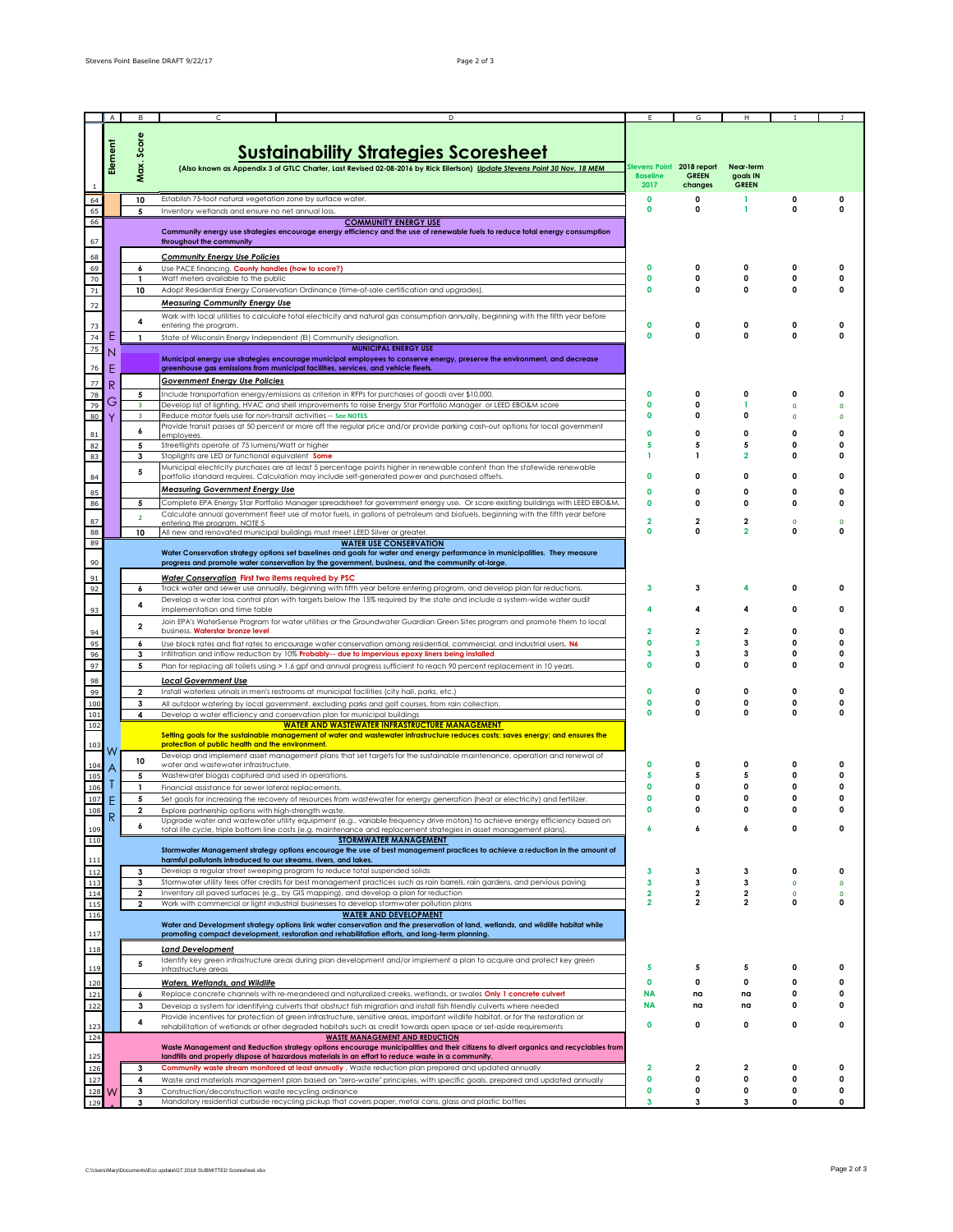|                                                             | $\mathsf{A}$ |                         |                                                                                                                                                                                                                                                        |                                                      |                             |                                       |                  |                   |
|-------------------------------------------------------------|--------------|-------------------------|--------------------------------------------------------------------------------------------------------------------------------------------------------------------------------------------------------------------------------------------------------|------------------------------------------------------|-----------------------------|---------------------------------------|------------------|-------------------|
|                                                             | Element      | Score                   | <b>Sustainability Strategies Scoresheet</b>                                                                                                                                                                                                            |                                                      |                             |                                       |                  |                   |
|                                                             |              | Max.                    | (Also known as Appendix 3 of GTLC Charter, Last Revised 02-08-2016 by Rick Eilertson) Update Stevens Point 30 Nov. 18 MEM                                                                                                                              | Stevens Point 2018 report<br><b>Baseline</b><br>2017 | <b>GREEN</b><br>changes     | Near-term<br>goals IN<br><b>GREEN</b> |                  |                   |
| 64                                                          |              | 10                      | Establish 75-foot natural vegetation zone by surface water.                                                                                                                                                                                            | $\mathbf 0$                                          | 0                           | 1                                     | O                | 0                 |
| 65                                                          |              | 5                       | Inventory wetlands and ensure no net annual loss.                                                                                                                                                                                                      | 0                                                    | $\mathbf 0$                 | 1                                     | 0                | 0                 |
| 66<br>67                                                    |              |                         | <b>COMMUNITY ENERGY USE</b><br>Community energy use strategies encourage energy efficiency and the use of renewable fuels to reduce total energy consumption<br>throughout the community                                                               |                                                      |                             |                                       |                  |                   |
| 68                                                          |              |                         | <b>Community Energy Use Policies</b>                                                                                                                                                                                                                   |                                                      |                             |                                       |                  |                   |
| 69                                                          |              | 6                       | Use PACE financing. County handles (how to score?)                                                                                                                                                                                                     | 0                                                    | $\Omega$                    | 0                                     | 0                | 0                 |
| 70                                                          |              | 1                       | Watt meters available to the public                                                                                                                                                                                                                    | $\mathbf 0$                                          | 0                           | 0                                     | 0                | U                 |
| 71                                                          |              | 10                      | Adopt Residential Energy Conservation Ordinance (time-of-sale certification and upgrades).                                                                                                                                                             | 0                                                    | $\Omega$                    | O                                     | O                | <sup>0</sup>      |
| $72\,$                                                      |              |                         | <b>Measuring Community Energy Use</b>                                                                                                                                                                                                                  |                                                      |                             |                                       |                  |                   |
|                                                             |              | 4                       | Work with local utilities to calculate total electricity and natural gas consumption annually, beginning with the fifth year before<br>entering the program.                                                                                           | O                                                    | $\mathbf 0$                 | 0                                     | 0                | ŋ                 |
| 73<br>74                                                    | Е            | $\mathbf{1}$            | State of Wisconsin Energy Independent (EI) Community designation.                                                                                                                                                                                      | O                                                    | $\mathbf 0$                 | 0                                     | 0                | 0                 |
| 75                                                          | N            |                         | <b>MUNICIPAL ENERGY USE</b>                                                                                                                                                                                                                            |                                                      |                             |                                       |                  |                   |
|                                                             |              |                         | Municipal energy use strategies encourage municipal employees to conserve energy, preserve the environment, and decrease                                                                                                                               |                                                      |                             |                                       |                  |                   |
| 76                                                          | E            |                         | greenhouse gas emissions from municipal facilities, services, and vehicle fleets.                                                                                                                                                                      |                                                      |                             |                                       |                  |                   |
| 77                                                          | R            |                         | <b>Government Energy Use Policies</b>                                                                                                                                                                                                                  |                                                      | $\Omega$                    | 0                                     | 0                |                   |
| 78<br>79                                                    | G            | 5<br>3                  | Include transportation energy/emissions as criterion in RFPs for purchases of goods over \$10,000.<br>Develop list of lighting, HVAC and shell improvements to raise Energy Star Portfolio Manager or LEED EBO&M score                                 | 0<br>0                                               | $\mathbf 0$                 | 1                                     | $\Omega$         | 0<br>$\mathbf 0$  |
| 80                                                          |              | $\overline{\mathbf{3}}$ | Reduce motor fuels use for non-transit activities -- See NOTES                                                                                                                                                                                         | 0                                                    | $\Omega$                    | O                                     | $\Omega$         | $\Omega$          |
|                                                             |              | 6                       | Provide transit passes at 50 percent or more off the regular price and/or provide parking cash-out options for local government                                                                                                                        | 0                                                    | 0                           | 0                                     | 0                | 0                 |
| 81<br>82                                                    |              | 5                       | employees.<br>Streetlights operate at 75 lumens/Watt or higher                                                                                                                                                                                         | 5                                                    | 5                           | 5                                     | 0                | 0                 |
| 83                                                          |              | 3                       | Stoplights are LED or functional equivalent Some                                                                                                                                                                                                       | 1                                                    | $\mathbf{1}$                | $\overline{2}$                        | O                | 0                 |
|                                                             |              | 5                       | Municipal electricity purchases are at least 5 percentage points higher in renewable content than the statewide renewable                                                                                                                              |                                                      |                             |                                       |                  |                   |
| 84                                                          |              |                         | portfolio standard requires. Calculation may include self-generated power and purchased offsets.                                                                                                                                                       | 0                                                    | $\mathbf 0$                 | 0                                     | 0                | 0                 |
| 85                                                          |              |                         | <b>Measuring Government Energy Use</b>                                                                                                                                                                                                                 | 0                                                    | $\mathbf 0$                 | 0                                     | 0                | 0                 |
| 86                                                          |              | 5                       | Complete EPA Energy Star Portfolio Manager spreadsheet for government energy use. Or score existing buildings with LEED EBO&M.                                                                                                                         | $\Omega$                                             | $\Omega$                    | O                                     | O                | n                 |
| 87                                                          |              | $\overline{2}$          | Calculate annual government fleet use of motor fuels, in gallons of petroleum and biofuels, beginning with the fifth year before<br>entering the program, NOTE 5                                                                                       | $\overline{\mathbf{2}}$                              | $\mathbf 2$                 | $\overline{\mathbf{2}}$               | $\Omega$         | $\mathbf{0}$      |
| 88                                                          |              | 10                      | All new and renovated municipal buildings must meet LEED Silver or greater.                                                                                                                                                                            | $\Omega$                                             | O                           | 2                                     | U                | n                 |
| 89                                                          |              |                         | <b>WATER USE CONSERVATION</b><br>Water Conservation strategy options set baselines and goals for water and energy performance in municipalities. They measure                                                                                          |                                                      |                             |                                       |                  |                   |
| 90                                                          |              |                         | progress and promote water conservation by the government, business, and the community at-large.                                                                                                                                                       |                                                      |                             |                                       |                  |                   |
| 91                                                          |              |                         | <b>Water Conservation First two items required by PSC</b>                                                                                                                                                                                              |                                                      |                             |                                       |                  |                   |
| 92                                                          |              | 6                       | Track water and sewer use annually, beginning with fifth year before entering program, and develop plan for reductions.                                                                                                                                |                                                      | 3                           |                                       | ٥                | 0                 |
|                                                             |              | 4                       | Develop a water loss control plan with targets below the 15% required by the state and include a system-wide water audit                                                                                                                               |                                                      |                             |                                       |                  |                   |
| 93                                                          |              |                         | implementation and time table                                                                                                                                                                                                                          |                                                      |                             | 4                                     | 0                | 0                 |
| 94                                                          |              | $\mathbf{2}$            | Join EPA's WaterSense Program for water utilities or the Groundwater Guardian Green Sites program and promote them to local<br>business. Waterstar bronze level                                                                                        | $\overline{2}$                                       | $\overline{\mathbf{2}}$     | $\overline{\mathbf{2}}$               | $\Omega$         | 0                 |
| 95                                                          |              | 6                       | Use block rates and flat rates to encourage water conservation among residential, commercial, and industrial users. N6                                                                                                                                 | $\Omega$                                             | 3                           | 3                                     | O                | n                 |
| 96                                                          |              | 3                       | Infiltration and inflow reduction by 10% Probably -- due to impervious epoxy liners being installed                                                                                                                                                    | 3                                                    | 3                           | 3                                     | 0                | 0                 |
| 97                                                          |              | 5                       | Plan for replacing all toilets using > 1.6 gpf and annual progress sufficient to reach 90 percent replacement in 10 years.                                                                                                                             | 0                                                    | $\mathbf 0$                 | 0                                     | 0                | 0                 |
| 98                                                          |              |                         | <b>Local Government Use</b>                                                                                                                                                                                                                            |                                                      |                             |                                       |                  |                   |
| 99                                                          |              | $\overline{\mathbf{2}}$ | Install waterless urinals in men's restrooms at municipal facilities (city hall, parks, etc.)                                                                                                                                                          | 0                                                    | $\mathbf 0$                 | 0                                     | 0                | 0                 |
| 100<br>101                                                  |              | 3<br>4                  | All outdoor watering by local government, excluding parks and golf courses, from rain collection.                                                                                                                                                      | $\mathbf 0$<br>O                                     | $\mathbf 0$<br>O            | 0<br>O                                | 0<br>0           | 0<br>0            |
| 102                                                         |              |                         | Develop a water efficiency and conservation plan for municipal buildings<br><b>WATER AND WASTEWATER INFRASTRUCTURE MANAGEMENT.</b>                                                                                                                     |                                                      |                             |                                       |                  |                   |
| 103                                                         | W            |                         | Setting goals for the sustainable management of water and wastewater infrastructure reduces costs; saves energy; and ensures the<br>protection of public health and the environment.                                                                   |                                                      |                             |                                       |                  |                   |
| 104                                                         |              | 10                      | Develop and implement asset management plans that set targets for the sustainable maintenance, operation and renewal of<br>water and wastewater infrastructure.                                                                                        | O                                                    | 0                           | 0                                     | O                | 0                 |
| 105                                                         |              | 5                       | Wastewater biogas captured and used in operations.                                                                                                                                                                                                     | 5                                                    | 5                           | 5                                     | 0                | 0                 |
| 106                                                         |              | 1                       | Financial assistance for sewer lateral replacements.                                                                                                                                                                                                   | 0                                                    | $\mathbf 0$                 | 0                                     | 0                | 0                 |
| 107                                                         | Е            | 5                       | Set goals for increasing the recovery of resources from wastewater for energy generation (heat or electricity) and fertilizer.                                                                                                                         | 0                                                    | $\mathbf 0$                 | 0                                     | ٥                | 0                 |
| 108                                                         | R            |                         | Explore partnership options with high-strength waste.<br>Upgrade water and wastewater utility equipment (e.g., variable frequency drive motors) to achieve energy efficiency based on                                                                  |                                                      |                             |                                       |                  |                   |
|                                                             |              |                         | total life cycle, triple bottom line costs (e.g. maintenance and replacement strategies in asset management plans)                                                                                                                                     | 6                                                    | 6                           | 6                                     | 0                | 0                 |
| $\frac{109}{110}$                                           |              |                         | <b>STORMWATER MANAGEMENT</b>                                                                                                                                                                                                                           |                                                      |                             |                                       |                  |                   |
| 111                                                         |              |                         | Stormwater Management strategy options encourage the use of best management practices to achieve a reduction in the amount of<br>harmful pollutants introduced to our streams, rivers, and lakes.                                                      |                                                      |                             |                                       |                  |                   |
|                                                             |              | 3                       | Develop a regular street sweeping program to reduce total suspended solids                                                                                                                                                                             | 3                                                    | 3                           | 3                                     | 0                | 0                 |
|                                                             |              | 3                       | Stormwater utility fees offer credits for best management practices such as rain barrels, rain gardens, and pervious paving                                                                                                                            | 3                                                    | 3                           | 3                                     | $\mathbf 0$      | $\mathbf 0$       |
| $\begin{array}{c}\n 112 \\ 113 \\ 114 \\ 115\n \end{array}$ |              | $\overline{\mathbf{2}}$ | Inventory all paved surfaces (e.g., by GIS mapping), and develop a plan for reduction<br>Work with commercial or light industrial businesses to develop stormwater pollution plans                                                                     | 2<br>2                                               | $\mathbf{2}$<br>$\mathbf 2$ | 2<br>2                                | $\mathbf 0$<br>0 | $\mathbf{0}$<br>0 |
| $\frac{116}{116}$                                           |              | 2                       | <b>WATER AND DEVELOPMENT</b>                                                                                                                                                                                                                           |                                                      |                             |                                       |                  |                   |
|                                                             |              |                         | Water and Development strategy options link water conservation and the preservation of land, wetlands, and wildlife habitat while                                                                                                                      |                                                      |                             |                                       |                  |                   |
| 117                                                         |              |                         | promoting compact development, restoration and rehabilitation efforts, and long-term planning.                                                                                                                                                         |                                                      |                             |                                       |                  |                   |
| 118                                                         |              |                         | <b>Land Development</b>                                                                                                                                                                                                                                |                                                      |                             |                                       |                  |                   |
| 119                                                         |              | 5                       | Identify key green infrastructure areas during plan development and/or implement a plan to acquire and protect key green<br>infrastructure areas                                                                                                       | 5                                                    | 5                           | 5                                     | 0                | 0                 |
| 120                                                         |              |                         | <b>Waters, Wetlands, and Wildlife</b>                                                                                                                                                                                                                  | O                                                    | 0                           | 0                                     | 0                | 0                 |
| 121                                                         |              | 6                       | Replace concrete channels with re-meandered and naturalized creeks, wetlands, or swales Only 1 concrete culvert                                                                                                                                        | ΝA                                                   | na                          | na                                    | 0                | 0                 |
| 122                                                         |              | 3                       | Develop a system for identifying culverts that obstruct fish migration and install fish friendly culverts where needed                                                                                                                                 | NA                                                   | na                          | na                                    | 0                | 0                 |
| 123                                                         |              | 4                       | Provide incentives for protection of green infrastructure, sensitive areas, important wildlife habitat, or for the restoration or<br>rehabilitation of wetlands or other degraded habitats such as credit towards open space or set-aside requirements | 0                                                    | $\mathbf 0$                 | 0                                     | 0                | 0                 |
| 124                                                         |              |                         | <b>WASTE MANAGEMENT AND REDUCTION</b>                                                                                                                                                                                                                  |                                                      |                             |                                       |                  |                   |
|                                                             |              |                         | Waste Management and Reduction strategy options encourage municipalities and their citizens to divert organics and recyclables from                                                                                                                    |                                                      |                             |                                       |                  |                   |
| 125                                                         |              |                         | landfills and properly dispose of hazardous materials in an effort to reduce waste in a community.                                                                                                                                                     | $\overline{2}$                                       |                             |                                       | 0                |                   |
| 126<br>127                                                  |              | 3<br>4                  | Community waste stream monitored at least annually . Waste reduction plan prepared and updated annually<br>Waste and materials management plan based on "zero-waste" principles, with specific goals, prepared and updated annually                    | 0                                                    | 2<br>0                      | 2<br>0                                | 0                | 0<br>0            |
| 128                                                         |              | 3                       | Construction/deconstruction waste recycling ordinance                                                                                                                                                                                                  | 0                                                    | 0                           | 0                                     | 0                | 0                 |
| 129                                                         |              | 3                       | Mandatory residential curbside recycling pickup that covers paper, metal cans, glass and plastic bottles                                                                                                                                               | 3                                                    | 3                           | 3                                     | 0                | 0                 |
|                                                             |              |                         |                                                                                                                                                                                                                                                        |                                                      |                             |                                       |                  |                   |